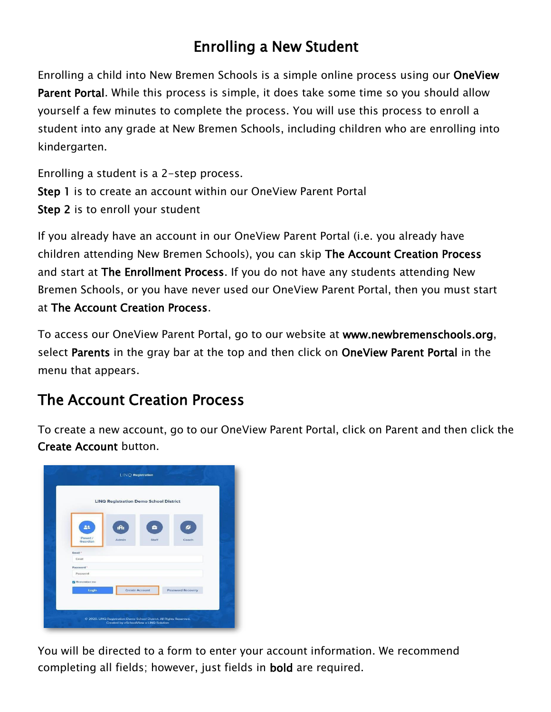## Enrolling a New Student

Enrolling a child into New Bremen Schools is a simple online process using our OneView Parent Portal. While this process is simple, it does take some time so you should allow yourself a few minutes to complete the process. You will use this process to enroll a student into any grade at New Bremen Schools, including children who are enrolling into kindergarten.

Enrolling a student is a 2-step process. Step 1 is to create an account within our OneView Parent Portal Step 2 is to enroll your student

If you already have an account in our OneView Parent Portal (i.e. you already have children attending New Bremen Schools), you can skip The Account Creation Process and start at The Enrollment Process. If you do not have any students attending New Bremen Schools, or you have never used our OneView Parent Portal, then you must start at The Account Creation Process.

To access our OneView Parent Portal, go to our website at [www.newbremenschools.org,](http://www.newbremenschools.org/) select Parents in the gray bar at the top and then click on OneView Parent Portal in the menu that appears.

## The Account Creation Process

To create a new account, go to our OneView Parent Portal, click on Parent and then click the Create Account button.



You will be directed to a form to enter your account information. We recommend completing all fields; however, just fields in bold are required.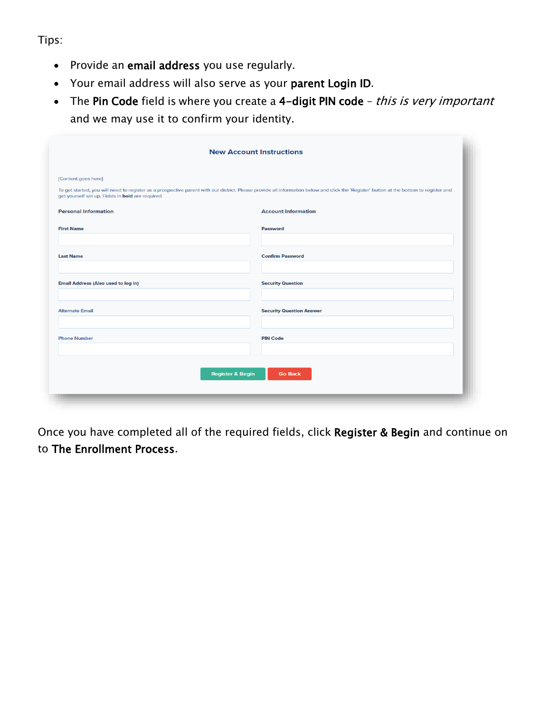Tips:

- Provide an email address you use regularly.
- Your email address will also serve as your parent Login ID.
- The Pin Code field is where you create a 4-digit PIN code this is very important and we may use it to confirm your identity.

| <b>New Account Instructions</b>                                          |                                                                                                                                                                                         |  |  |  |
|--------------------------------------------------------------------------|-----------------------------------------------------------------------------------------------------------------------------------------------------------------------------------------|--|--|--|
| [Content goes here]<br>get yourself set up. Fields in bold are required. | To get started, you will need to register as a prospective parent with our district. Please provide all information below and click the 'Register' button at the bottom to register and |  |  |  |
| <b>Personal Information</b>                                              | <b>Account Information</b>                                                                                                                                                              |  |  |  |
| <b>First Name</b>                                                        | <b>Password</b>                                                                                                                                                                         |  |  |  |
|                                                                          |                                                                                                                                                                                         |  |  |  |
| <b>Last Name</b>                                                         | <b>Confirm Password</b>                                                                                                                                                                 |  |  |  |
|                                                                          |                                                                                                                                                                                         |  |  |  |
| <b>Email Address (Also used to log in)</b>                               | <b>Security Question</b>                                                                                                                                                                |  |  |  |
| <b>Alternate Email</b>                                                   | <b>Security Question Answer</b>                                                                                                                                                         |  |  |  |
|                                                                          |                                                                                                                                                                                         |  |  |  |
| <b>Phone Number</b>                                                      | <b>PIN Code</b>                                                                                                                                                                         |  |  |  |
|                                                                          |                                                                                                                                                                                         |  |  |  |
|                                                                          | <b>Register &amp; Begin</b><br><b>Go Back</b>                                                                                                                                           |  |  |  |
|                                                                          |                                                                                                                                                                                         |  |  |  |
|                                                                          |                                                                                                                                                                                         |  |  |  |

Once you have completed all of the required fields, click Register & Begin and continue on to The Enrollment Process.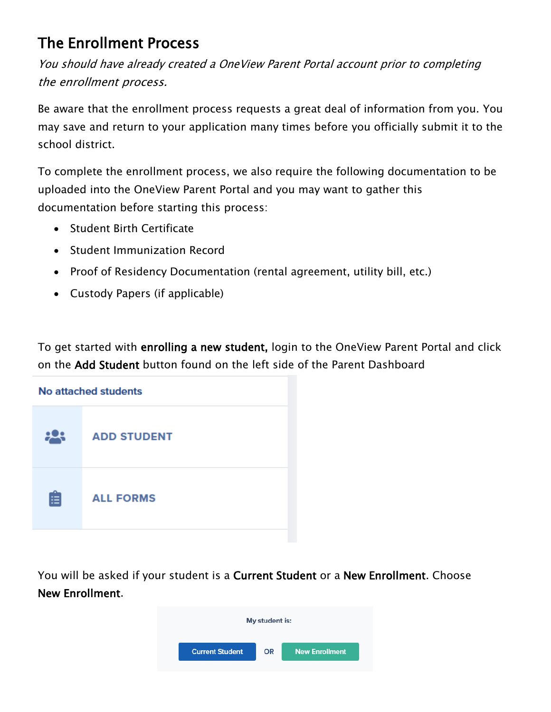## The Enrollment Process

You should have already created a OneView Parent Portal account prior to completing the enrollment process.

Be aware that the enrollment process requests a great deal of information from you. You may save and return to your application many times before you officially submit it to the school district.

To complete the enrollment process, we also require the following documentation to be uploaded into the OneView Parent Portal and you may want to gather this documentation before starting this process:

- Student Birth Certificate
- Student Immunization Record
- Proof of Residency Documentation (rental agreement, utility bill, etc.)
- Custody Papers (if applicable)

To get started with enrolling a new student, login to the OneView Parent Portal and click on the Add Student button found on the left side of the Parent Dashboard



You will be asked if your student is a Current Student or a New Enrollment. Choose New Enrollment.

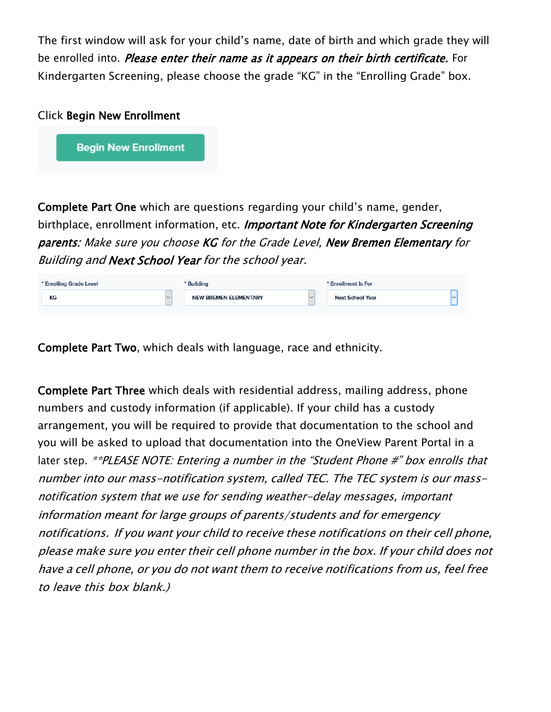The first window will ask for your child's name, date of birth and which grade they will be enrolled into. *Please enter their name as it appears on their birth certificate.* For Kindergarten Screening, please choose the grade "KG" in the "Enrolling Grade" box.

**Begin New Enrollment** 

Complete Part One which are questions regarding your child's name, gender, birthplace, enrollment information, etc. Important Note for Kindergarten Screening parents: Make sure you choose KG for the Grade Level, New Bremen Elementary for Building and Next School Year for the school year.

| * Enrolling Grade Level |        | ' Building                   |              | * Enrollment Is For     |  |
|-------------------------|--------|------------------------------|--------------|-------------------------|--|
| KG                      | $\sim$ | <b>NEW BREMEN ELEMENTARY</b> | $\checkmark$ | <b>Next School Year</b> |  |
|                         |        |                              |              |                         |  |

Complete Part Two, which deals with language, race and ethnicity.

Complete Part Three which deals with residential address, mailing address, phone numbers and custody information (if applicable). If your child has a custody arrangement, you will be required to provide that documentation to the school and you will be asked to upload that documentation into the OneView Parent Portal in a later step. \*\*PLEASE NOTE: Entering a number in the "Student Phone #" box enrolls that number into our mass-notification system, called TEC. The TEC system is our massnotification system that we use for sending weather-delay messages, important information meant for large groups of parents/students and for emergency notifications. If you want your child to receive these notifications on their cell phone, please make sure you enter their cell phone number in the box. If your child does not have <sup>a</sup> cell phone, or you do not want them to receive notifications from us, feel free to leave this box blank.)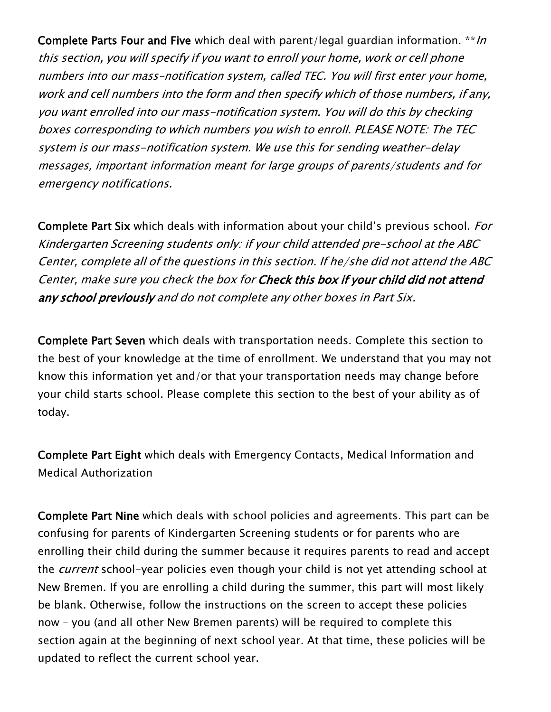Complete Parts Four and Five which deal with parent/legal guardian information. \*\*/n this section, you will specify if you want to enroll your home, work or cell phone numbers into our mass-notification system, called TEC. You will first enter your home, work and cell numbers into the form and then specify which of those numbers, if any, you want enrolled into our mass-notification system. You will do this by checking boxes corresponding to which numbers you wish to enroll. PLEASE NOTE: The TEC system is our mass-notification system. We use this for sending weather-delay messages, important information meant for large groups of parents/students and for emergency notifications.

Complete Part Six which deals with information about your child's previous school. For Kindergarten Screening students only: if your child attended pre-school at the ABC Center, complete all of the questions in this section. If he/she did not attend the ABC Center, make sure you check the box for Check this box if your child did not attend any school previously and do not complete any other boxes in Part Six.

Complete Part Seven which deals with transportation needs. Complete this section to the best of your knowledge at the time of enrollment. We understand that you may not know this information yet and/or that your transportation needs may change before your child starts school. Please complete this section to the best of your ability as of today.

Complete Part Eight which deals with Emergency Contacts, Medical Information and Medical Authorization

Complete Part Nine which deals with school policies and agreements. This part can be confusing for parents of Kindergarten Screening students or for parents who are enrolling their child during the summer because it requires parents to read and accept the *current* school-year policies even though your child is not yet attending school at New Bremen. If you are enrolling a child during the summer, this part will most likely be blank. Otherwise, follow the instructions on the screen to accept these policies now – you (and all other New Bremen parents) will be required to complete this section again at the beginning of next school year. At that time, these policies will be updated to reflect the current school year.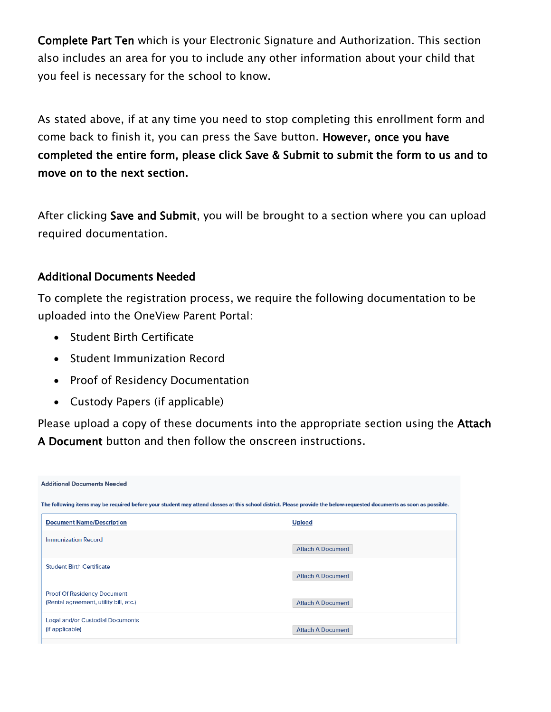Complete Part Ten which is your Electronic Signature and Authorization. This section also includes an area for you to include any other information about your child that you feel is necessary for the school to know.

As stated above, if at any time you need to stop completing this enrollment form and come back to finish it, you can press the Save button. However, once you have completed the entire form, please click Save & Submit to submit the form to us and to move on to the next section.

After clicking Save and Submit, you will be brought to a section where you can upload required documentation.

## Additional Documents Needed

To complete the registration process, we require the following documentation to be uploaded into the OneView Parent Portal:

- Student Birth Certificate
- Student Immunization Record
- Proof of Residency Documentation
- Custody Papers (if applicable)

Please upload a copy of these documents into the appropriate section using the Attach A Document button and then follow the onscreen instructions.

| <b>Additional Documents Needed</b>                                                                                                                                    |                          |  |  |  |  |  |
|-----------------------------------------------------------------------------------------------------------------------------------------------------------------------|--------------------------|--|--|--|--|--|
| The following items may be required before your student may attend classes at this school district. Please provide the below-requested documents as soon as possible. |                          |  |  |  |  |  |
| <b>Document Name/Description</b>                                                                                                                                      | <b>Upload</b>            |  |  |  |  |  |
| Immunization Record                                                                                                                                                   | <b>Attach A Document</b> |  |  |  |  |  |
| <b>Student Birth Certificate</b>                                                                                                                                      | <b>Attach A Document</b> |  |  |  |  |  |
| <b>Proof Of Residency Document</b><br>(Rental agreement, utility bill, etc.)                                                                                          | <b>Attach A Document</b> |  |  |  |  |  |
| Legal and/or Custodial Documents<br>(if applicable)                                                                                                                   | <b>Attach A Document</b> |  |  |  |  |  |